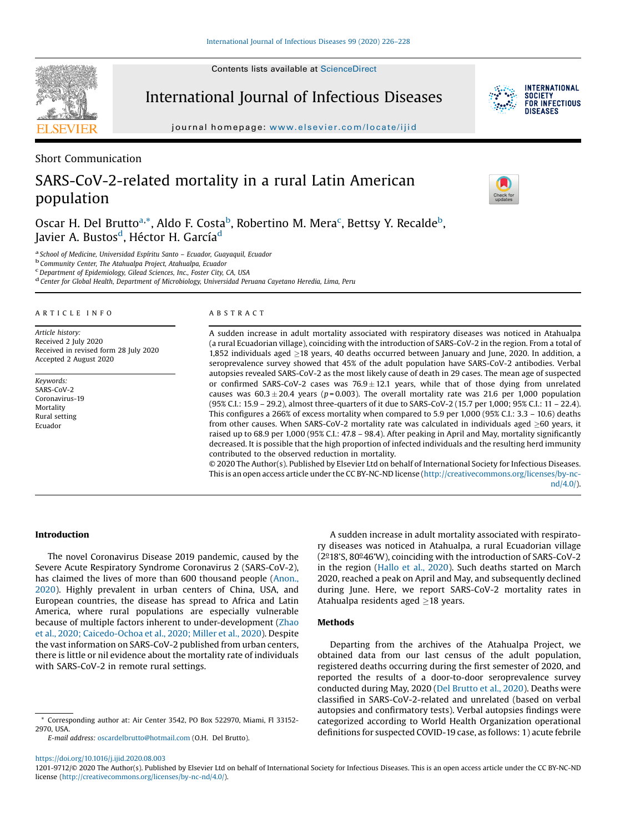Contents lists available at ScienceDirect



International Journal of Infectious Diseases



journal homepage: www.elsevier.com/locate/ijid

Short Communication

# SARS-CoV-2-related mortality in a rural Latin American population



Oscar H. Del Brutto<sup>a,\*</sup>, Aldo F. Costa<sup>b</sup>, Robertino M. Mera<sup>c</sup>, Bettsy Y. Recalde<sup>b</sup>, Javier A. Bustos<sup>d</sup>, Héctor H. García<sup>d</sup>

<sup>a</sup> School of Medicine, Universidad Espíritu Santo – Ecuador, Guayaquil, Ecuador<br><sup>b</sup> Community Center, The Atahualpa Project, Atahualpa, Ecuador c<br><sup>c</sup> Department of Epidemiology, Gilead Sciences, Inc., Foster City, CA, US

<sup>d</sup> Center for Global Health, Department of Microbiology, Universidad Peruana Cayetano Heredia, Lima, Peru

#### A R T I C L E I N F O

Article history: Received 2 July 2020 Received in revised form 28 July 2020 Accepted 2 August 2020

Keywords: SARS-CoV-2 Coronavirus-19 **Mortality** Rural setting Ecuador

## A B S T R A C T

A sudden increase in adult mortality associated with respiratory diseases was noticed in Atahualpa (a rural Ecuadorian village), coinciding with the introduction of SARS-CoV-2 in the region. From a total of 1,852 individuals aged  $\geq$ 18 years, 40 deaths occurred between January and June, 2020. In addition, a seroprevalence survey showed that 45% of the adult population have SARS-CoV-2 antibodies. Verbal autopsies revealed SARS-CoV-2 as the most likely cause of death in 29 cases. The mean age of suspected or confirmed SARS-CoV-2 cases was  $76.9 \pm 12.1$  years, while that of those dying from unrelated causes was  $60.3 \pm 20.4$  years (p=0.003). The overall mortality rate was 21.6 per 1,000 population (95% C.I.: 15.9 – 29.2), almost three-quarters of it due to SARS-CoV-2 (15.7 per 1,000; 95% C.I.: 11 – 22.4). This configures a 266% of excess mortality when compared to 5.9 per 1,000 (95% C.I.: 3.3 – 10.6) deaths from other causes. When SARS-CoV-2 mortality rate was calculated in individuals aged  $\geq$ 60 years, it raised up to 68.9 per 1,000 (95% C.I.: 47.8 – 98.4). After peaking in April and May, mortality significantly decreased. It is possible that the high proportion of infected individuals and the resulting herd immunity contributed to the observed reduction in mortality.

© 2020 The Author(s). Published by Elsevier Ltd on behalf of International Society for Infectious Diseases. This is an open access article under the CC BY-NC-ND license (http://creativecommons.org/licenses/by-ncnd/4.0/).

#### Introduction

The novel Coronavirus Disease 2019 pandemic, caused by the Severe Acute Respiratory Syndrome Coronavirus 2 (SARS-CoV-2), has claimed the lives of more than 600 thousand people (Anon., 2020). Highly prevalent in urban centers of China, USA, and European countries, the disease has spread to Africa and Latin America, where rural populations are especially vulnerable because of multiple factors inherent to under-development (Zhao et al., 2020; Caicedo-Ochoa et al., 2020; Miller et al., 2020). Despite the vast information on SARS-CoV-2 published from urban centers, there is little or nil evidence about the mortality rate of individuals with SARS-CoV-2 in remote rural settings.

\* Corresponding author at: Air Center 3542, PO Box 522970, Miami, Fl 33152- 2970, USA.

E-mail address: oscardelbrutto@hotmail.com (O.H. Del Brutto).

A sudden increase in adult mortality associated with respiratory diseases was noticed in Atahualpa, a rural Ecuadorian village  $(2<sup>o</sup>18'S, 80<sup>o</sup>46'W)$ , coinciding with the introduction of SARS-CoV-2 in the region (Hallo et al., 2020). Such deaths started on March 2020, reached a peak on April and May, and subsequently declined during June. Here, we report SARS-CoV-2 mortality rates in Atahualpa residents aged  $>18$  years.

## **Methods**

Departing from the archives of the Atahualpa Project, we obtained data from our last census of the adult population, registered deaths occurring during the first semester of 2020, and reported the results of a door-to-door seroprevalence survey conducted during May, 2020 (Del Brutto et al., 2020). Deaths were classified in SARS-CoV-2-related and unrelated (based on verbal autopsies and confirmatory tests). Verbal autopsies findings were categorized according to World Health Organization operational definitions for suspected COVID-19 case, as follows: 1) acute febrile

https://doi.org/10.1016/j.ijid.2020.08.003

<sup>1201-9712/©</sup> 2020 The Author(s). Published by Elsevier Ltd on behalf of International Society for Infectious Diseases. This is an open access article under the CC BY-NC-ND license (http://creativecommons.org/licenses/by-nc-nd/4.0/).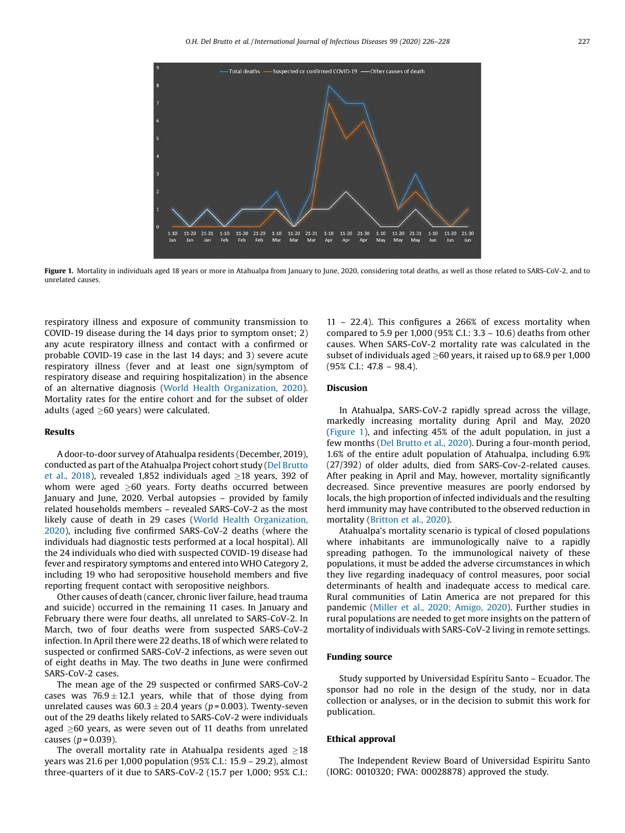

Figure 1. Mortality in individuals aged 18 years or more in Atahualpa from January to June, 2020, considering total deaths, as well as those related to SARS-CoV-2, and to unrelated causes.

respiratory illness and exposure of community transmission to COVID-19 disease during the 14 days prior to symptom onset; 2) any acute respiratory illness and contact with a confirmed or probable COVID-19 case in the last 14 days; and 3) severe acute respiratory illness (fever and at least one sign/symptom of respiratory disease and requiring hospitalization) in the absence of an alternative diagnosis (World Health Organization, 2020). Mortality rates for the entire cohort and for the subset of older adults (aged  $>60$  years) were calculated.

# Results

A door-to-door survey of Atahualpa residents (December, 2019), conducted as part of the Atahualpa Project cohort study (Del Brutto et al., 2018), revealed 1,852 individuals aged  $\geq$ 18 years, 392 of whom were aged  $\geq 60$  years. Forty deaths occurred between January and June, 2020. Verbal autopsies – provided by family related households members – revealed SARS-CoV-2 as the most likely cause of death in 29 cases (World Health Organization, 2020), including five confirmed SARS-CoV-2 deaths (where the individuals had diagnostic tests performed at a local hospital). All the 24 individuals who died with suspected COVID-19 disease had fever and respiratory symptoms and entered into WHO Category 2, including 19 who had seropositive household members and five reporting frequent contact with seropositive neighbors.

Other causes of death (cancer, chronic liver failure, head trauma and suicide) occurred in the remaining 11 cases. In January and February there were four deaths, all unrelated to SARS-CoV-2. In March, two of four deaths were from suspected SARS-CoV-2 infection. In April there were 22 deaths, 18 of which were related to suspected or confirmed SARS-CoV-2 infections, as were seven out of eight deaths in May. The two deaths in June were confirmed SARS-CoV-2 cases.

The mean age of the 29 suspected or confirmed SARS-CoV-2 cases was  $76.9 \pm 12.1$  years, while that of those dying from unrelated causes was  $60.3 \pm 20.4$  years ( $p = 0.003$ ). Twenty-seven out of the 29 deaths likely related to SARS-CoV-2 were individuals aged  $>60$  years, as were seven out of 11 deaths from unrelated causes ( $p = 0.039$ ).

The overall mortality rate in Atahualpa residents aged  $\geq$ 18 years was 21.6 per 1,000 population (95% C.I.: 15.9 – 29.2), almost three-quarters of it due to SARS-CoV-2 (15.7 per 1,000; 95% C.I.:

11 – 22.4). This configures a 266% of excess mortality when compared to 5.9 per 1,000 (95% C.I.: 3.3 – 10.6) deaths from other causes. When SARS-CoV-2 mortality rate was calculated in the subset of individuals aged  $>60$  years, it raised up to 68.9 per 1,000 (95% C.I.: 47.8 – 98.4).

### Discusion

In Atahualpa, SARS-CoV-2 rapidly spread across the village, markedly increasing mortality during April and May, 2020 (Figure 1), and infecting 45% of the adult population, in just a few months (Del Brutto et al., 2020). During a four-month period, 1.6% of the entire adult population of Atahualpa, including 6.9% (27/392) of older adults, died from SARS-Cov-2-related causes. After peaking in April and May, however, mortality significantly decreased. Since preventive measures are poorly endorsed by locals, the high proportion of infected individuals and the resulting herd immunity may have contributed to the observed reduction in mortality (Britton et al., 2020).

Atahualpa's mortality scenario is typical of closed populations where inhabitants are immunologically naïve to a rapidly spreading pathogen. To the immunological naivety of these populations, it must be added the adverse circumstances in which they live regarding inadequacy of control measures, poor social determinants of health and inadequate access to medical care. Rural communities of Latin America are not prepared for this pandemic (Miller et al., 2020; Amigo, 2020). Further studies in rural populations are needed to get more insights on the pattern of mortality of individuals with SARS-CoV-2 living in remote settings.

#### Funding source

Study supported by Universidad Espíritu Santo – Ecuador. The sponsor had no role in the design of the study, nor in data collection or analyses, or in the decision to submit this work for publication.

#### Ethical approval

The Independent Review Board of Universidad Espiritu Santo (IORG: 0010320; FWA: 00028878) approved the study.